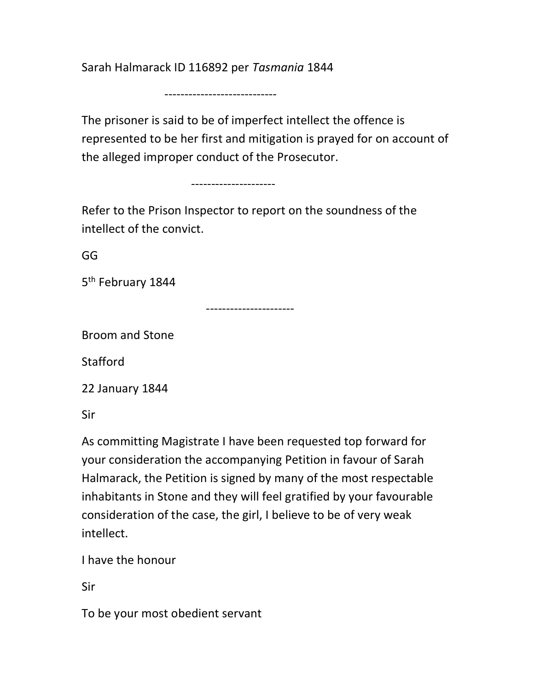Sarah Halmarack ID 116892 per Tasmania 1844

----------------------------

The prisoner is said to be of imperfect intellect the offence is represented to be her first and mitigation is prayed for on account of the alleged improper conduct of the Prosecutor.

---------------------

Refer to the Prison Inspector to report on the soundness of the intellect of the convict.

GG

5<sup>th</sup> February 1844

----------------------

Broom and Stone

Stafford

22 January 1844

Sir

As committing Magistrate I have been requested top forward for your consideration the accompanying Petition in favour of Sarah Halmarack, the Petition is signed by many of the most respectable inhabitants in Stone and they will feel gratified by your favourable consideration of the case, the girl, I believe to be of very weak intellect.

I have the honour

Sir

To be your most obedient servant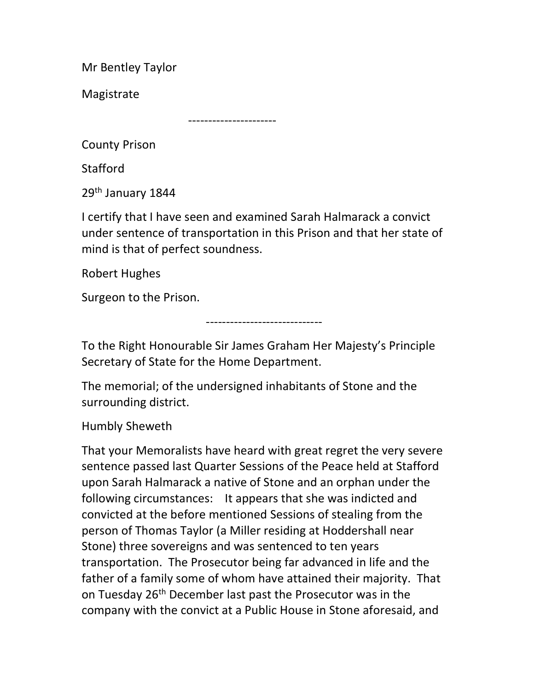Mr Bentley Taylor

Magistrate

----------------------

County Prison

Stafford

29<sup>th</sup> January 1844

I certify that I have seen and examined Sarah Halmarack a convict under sentence of transportation in this Prison and that her state of mind is that of perfect soundness.

Robert Hughes

Surgeon to the Prison.

-----------------------------

To the Right Honourable Sir James Graham Her Majesty's Principle Secretary of State for the Home Department.

The memorial; of the undersigned inhabitants of Stone and the surrounding district.

Humbly Sheweth

That your Memoralists have heard with great regret the very severe sentence passed last Quarter Sessions of the Peace held at Stafford upon Sarah Halmarack a native of Stone and an orphan under the following circumstances: It appears that she was indicted and convicted at the before mentioned Sessions of stealing from the person of Thomas Taylor (a Miller residing at Hoddershall near Stone) three sovereigns and was sentenced to ten years transportation. The Prosecutor being far advanced in life and the father of a family some of whom have attained their majority. That on Tuesday 26<sup>th</sup> December last past the Prosecutor was in the company with the convict at a Public House in Stone aforesaid, and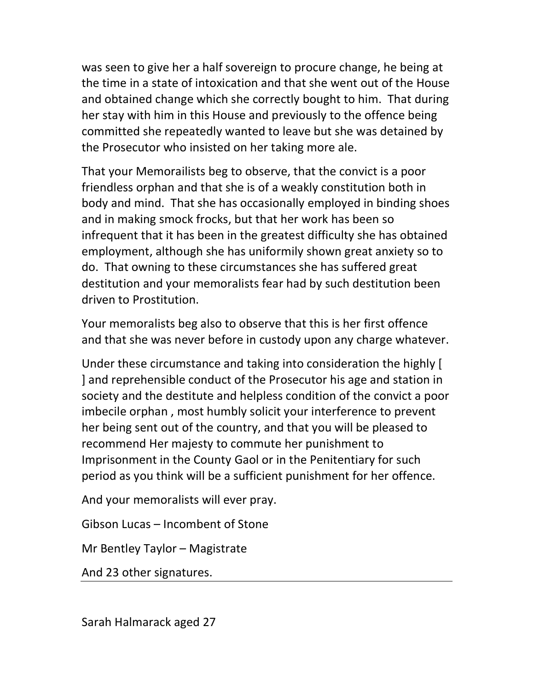was seen to give her a half sovereign to procure change, he being at the time in a state of intoxication and that she went out of the House and obtained change which she correctly bought to him. That during her stay with him in this House and previously to the offence being committed she repeatedly wanted to leave but she was detained by the Prosecutor who insisted on her taking more ale.

That your Memorailists beg to observe, that the convict is a poor friendless orphan and that she is of a weakly constitution both in body and mind. That she has occasionally employed in binding shoes and in making smock frocks, but that her work has been so infrequent that it has been in the greatest difficulty she has obtained employment, although she has uniformily shown great anxiety so to do. That owning to these circumstances she has suffered great destitution and your memoralists fear had by such destitution been driven to Prostitution.

Your memoralists beg also to observe that this is her first offence and that she was never before in custody upon any charge whatever.

Under these circumstance and taking into consideration the highly [ ] and reprehensible conduct of the Prosecutor his age and station in society and the destitute and helpless condition of the convict a poor imbecile orphan , most humbly solicit your interference to prevent her being sent out of the country, and that you will be pleased to recommend Her majesty to commute her punishment to Imprisonment in the County Gaol or in the Penitentiary for such period as you think will be a sufficient punishment for her offence.

And your memoralists will ever pray.

Gibson Lucas – Incombent of Stone

Mr Bentley Taylor – Magistrate

And 23 other signatures.

Sarah Halmarack aged 27